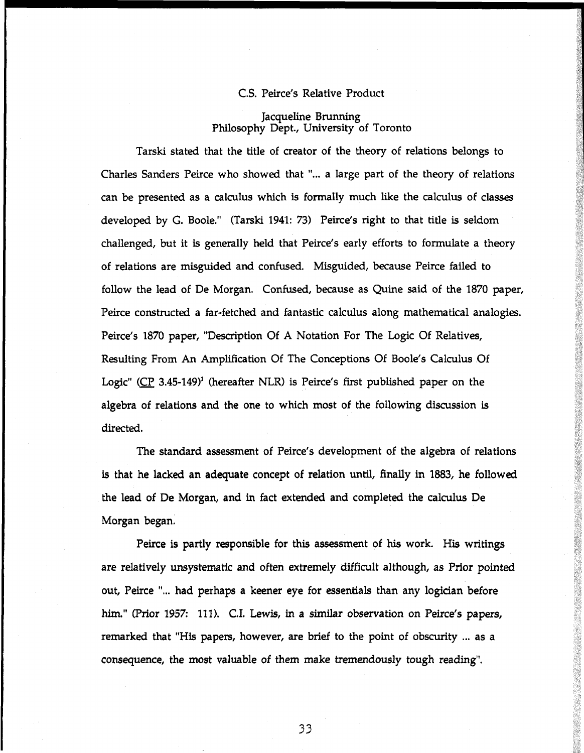## C.S. Peirce's Relative Product

Jacqueline Brunning Philosophy Dept, University of Toronto

Tarski stated that the title of creator of the theory of relations belongs to Charles Sanders Peirce who showed that "... a large part of the theory of relations can be presented as a calculus which is formally much like the calculus of classes developed by G. Boole." (Tarski 1941: 73) Peirce's right to that title is seldom challenged, but it is generally held that Peirce's early efforts to formulate a theory of relations are misguided and confused. Misguided, because Peirce failed to follow the lead of De Morgan. Confused, because as Quine said of the 1870 paper, Peirce constructed a far-fetched and fantastic calculus along mathematical analogies. Peirce's 1870 paper, "Description Of A Notation For The Logic Of Relatives, Resulting From An Amplification Of The Conceptions Of Boole's Calculus Of Logic"  $(CP 3.45-149)^1$  (hereafter NLR) is Peirce's first published paper on the algebra of relations and the one to which most of the following discussion is directed.

The standard assessment of Peirce's development of the algebra of relations is that he lacked an adequate concept of relation until, finally in 1883, he followed the lead of De Morgan, and in fact extended and completed the calculus De Morgan began.

Peirce is partly responsible for this assessment of his work. His writings are relatively unsystematic and often extremely difficult although, as Prior pointed out, Peirce "... had perhaps a keener eye for essentials than any logician before him." (Prior 1957: 111). CI. Lewis, in a similar observation on Peirce's papers, remarked that "His papers, however, are brief to the point of obscurity ... as a consequence, the most valuable of them make tremendously tough reading".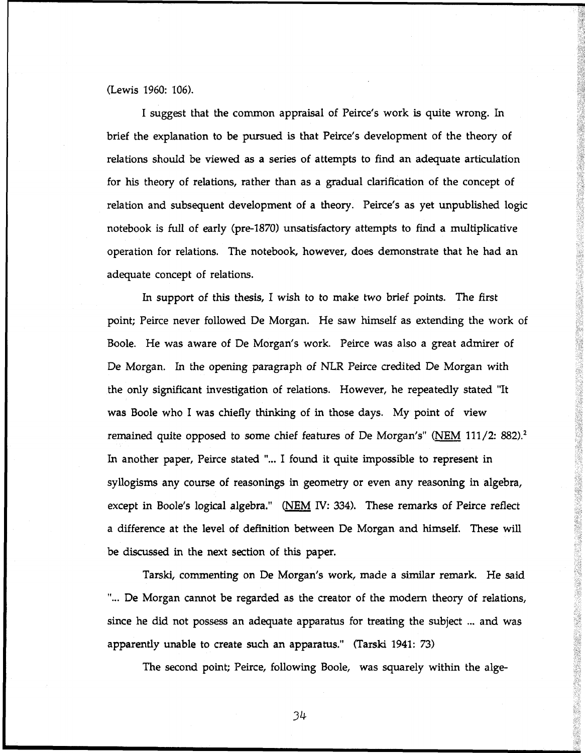(Lewis 1960: 106).

I suggest that the common appraisal of Peirce's work is quite wrong. In brief the explanation to be pursued is that Peirce's development of the theory of relations should be viewed as a series of attempts to find an adequate articulation for his theory of relations, rather than as a gradual clarification of the concept of relation and subsequent development of a theory. Peirce's as yet unpublished logic notebook is full of early (pre-1870) unsatisfactory attempts to find a multiplicative operation for relations. The notebook, however, does demonstrate that he had an adequate concept of relations.

In support of this thesis, I wish to to make two brief points. The first point; Peirce never followed De Morgan. He saw himself as extending the work of Boole. He was aware of De Morgan's work. Peirce was also a great admirer of De Morgan. In the opening paragraph of NLR Peirce credited De Morgan with the only significant investigation of relations. However, he repeatedly stated "It was Boole who I was chiefly thinking of in those days. My point of view remained quite opposed to some chief features of De Morgan's" (NEM 111/2: 882).<sup>2</sup> In another paper, Peirce stated "... I found it quite impossible to represent in syllogisms any course of reasonings in geometry or even any reasoning in algebra, except in Boole's logical algebra." (NEM IV: 334). These remarks of Peirce reflect a difference at the level of definition between De Morgan and himself. These will be discussed in the next section of this paper.

Tarski, commenting on De Morgan's work, made a similar remark. He said "... De Morgan cannot be regarded as the creator of the modern theory of relations, since he did not possess an adequate apparatus for treating the subject ... and was apparently unable to create such an apparatus." (Tarski 1941: 73)

The second point; Peirce, following Boole, was squarely within the alge-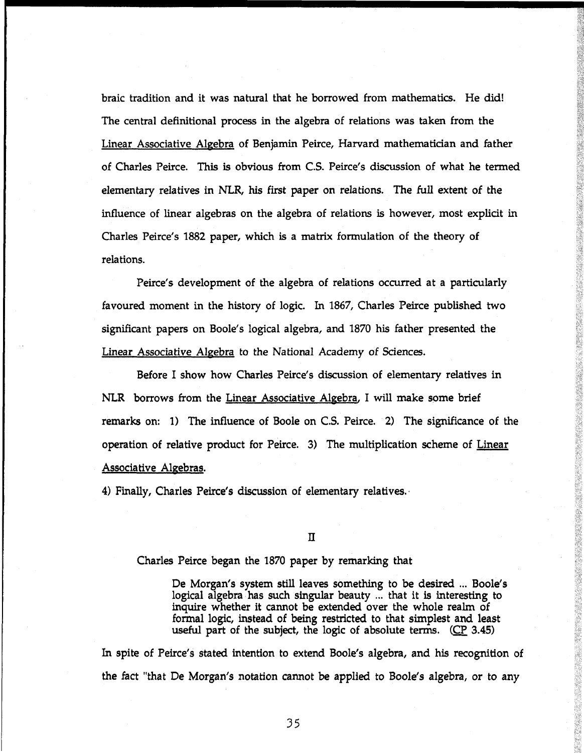braic tradition and it was natural that he borrowed from mathematics. He did! The central definitional process in the algebra of relations was taken from the Linear Associative Algebra of Benjamin Peirce, Harvard mathematician and father of Charles Peirce. This is obvious from C.S. Peirce's discussion of what he termed elementary relatives in NLR, his first paper on relations. The full extent of the influence of linear algebras on the algebra of relations is however, most explicit in Charles Peirce's 1882 paper, which is a matrix formulation of the theory of relations.

Peirce's development of the algebra of relations occurred at a particularly favoured moment in the history of logic. In 1867, Charles Peirce published two significant papers on Boole's logical algebra, and 1870 his father presented the Linear Associative Algebra to the National Academy of Sciences.

Before I show how Charles Peirce's discussion of elementary relatives in NLR borrows from the Linear Associative Algebra, I will make some brief remarks on: 1) The influence of Boole on C.S. Peirce. 2) The significance of the operation of relative product for Peirce. 3) The multiplication scheme of Linear Associative Aleebras.

4) Finally, Charles Peirce's discussion of elementary relatives.

 $\mathbf{I}$ 

Charles Peirce began the 1870 paper by remarking that

De Morgan's system still leaves something to be desired ... Boole's logical algebra has such singular beauty ... that it is interesting to inquire whether it cannot be extended over the whole realm of formal logic, instead of being restricted to that simplest and least useful part of the subject, the logic of absolute terms. (CP 3.45)

In spite of Peirce's stated intention to extend Boole's algebra, and his recognition of the fact "that De Morgan's notation cannot be applied to Boole's algebra, or to any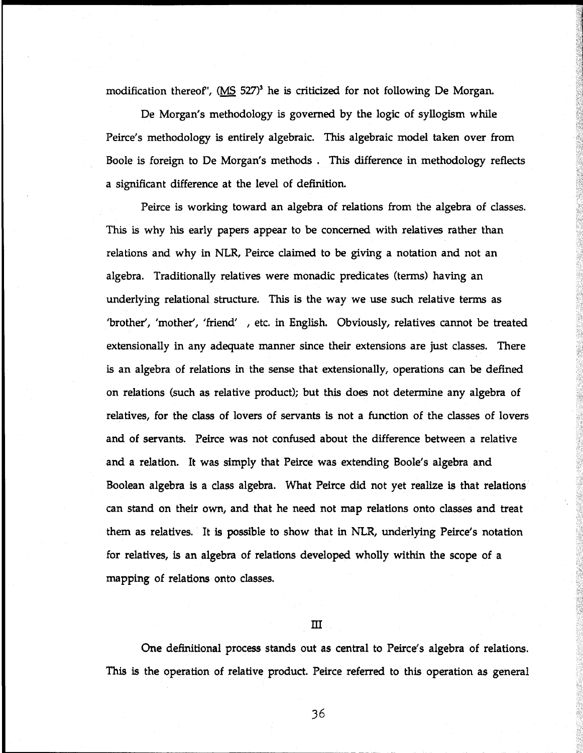modification thereof', (MS 527)<sup>3</sup> he is criticized for not following De Morgan.

De Morgan's methodology is governed by the logic of syllogism while Peirce's methodology is entirely algebraic. This algebraic model taken over from Boole is foreign to De Morgan's methods . This difference in methodology reflects a significant difference at the level of definition.

Peirce is working toward an algebra of relations from the algebra of classes. This is why his early papers appear to be concerned with relatives rather than relations and why in NLR, Peirce claimed to be giving a notation and not an algebra. Traditionally relatives were monadic predicates (terms) having an underlying relational structure. This is the way we use such relative terms as 'brother', 'mother', 'friend', etc. in English. Obviously, relatives cannot be treated extensionally in any adequate manner since their extensions are just classes. There is an algebra of relations in the sense that extensionally, operations can be defined on relations (such as relative product); but this does not determine any algebra of relatives, for the class of lovers of servants is not a function of the classes of lovers and of servants. Peirce was not confused about the difference between a relative and a relation. It was simply that Peirce was extending Boole's algebra and Boolean algebra is a class algebra. What Peirce did not yet realize is that relations can stand on their own, and that he need not map relations onto classes and treat them as relatives. It is possible to show that in NLR, underlying Peirce's notation for relatives, is an algebra of relations developed wholly within the scope of a mapping of relations onto classes.

# $\overline{\mathbf{m}}$

One definitional process stands out as central to Peirce's algebra of relations. This is the operation of relative product. Peirce referred to this operation as general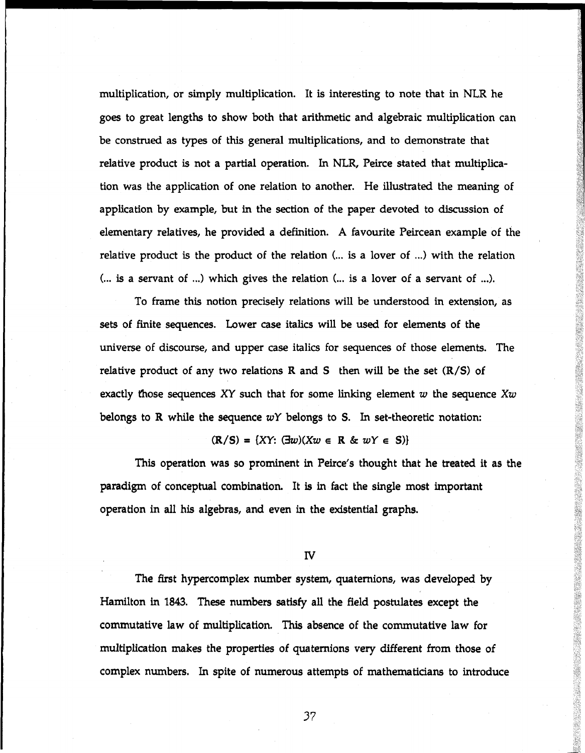multiplication, or simply multiplication. It is interesting to note that in NLR he goes to great lengths to show both that arithmetic and algebraic multiplication can be construed as types of this general multiplications, and to demonstrate that relative product is not a partial operation. In NLR, Peirce stated that multiplication was the application of one relation to another. He illustrated the meaning of application by example, but in the section of the paper devoted to discussion of elementary relatives, he provided a definition. A favourite Peircean example of the relative product is the product of the relation (... is a lover of ...) with the relation  $($ ... is a servant of ...) which gives the relation  $($ ... is a lover of a servant of ...).

To frame this notion precisely relations will be understood in extension, as sets of finite sequences. Lower case italics will be used for elements of the universe of discourse, and upper case italics for sequences of those elements. The relative product of any two relations  $R$  and  $S$  then will be the set  $(R/S)$  of exactly those sequences XY such that for some linking element *w* the sequence *Xw* belongs to R while the sequence *wY* belongs to S. In set-theoretic notation:

## $(R/S) = {XY: (\exists w)(Xw \in R \& wY \in S)}$

This operation was so prominent in Peirce's thought that he treated it as the paradigm of conceptual combination. It is in fact the single most important operation in all his algebras, and even in the existential graphs.

## IV

The first hypercomplex number system, quaternions, was developed by Hamilton in 1843. These numbers satisfy all the field postulates except the commutative law of multiplication. This absence of the commutative law for multiplication makes the properties of quaternions very different from those of complex numbers. In spite of numerous attempts of mathematicians to introduce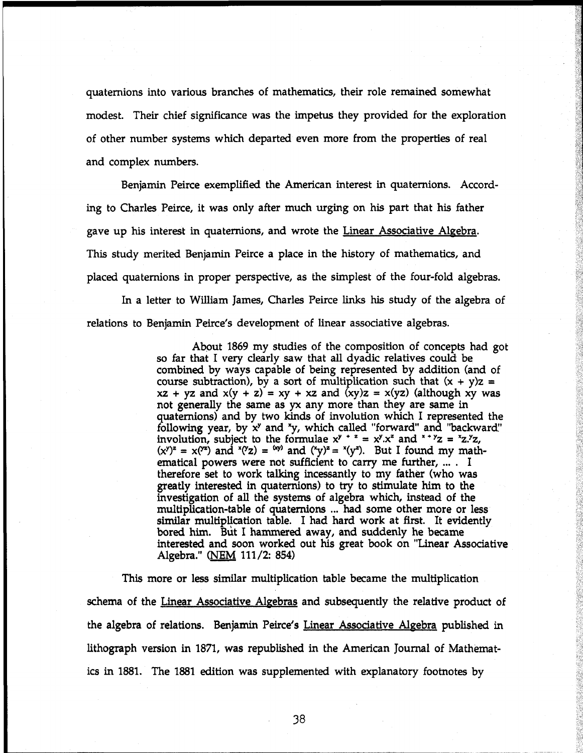quaternions into various branches of mathematics, their role remained somewhat modest. Their chief significance was the impetus they provided for the exploration of other number systems which departed even more from the properties of real and complex numbers.

Benjamin Peirce exemplified the American interest in quaternions. Accord ing to Charles Peirce, it was only after much urging on his part that his father gave up his interest in quaternions, and wrote the Linear Associative Algebra. This study merited Benjamin Peirce a place in the history of mathematics, and placed quaternions in proper perspective, as the simplest of the four-fold algebras.

In a letter to William James, Charles Peirce links his study of the algebra of relations to Benjamin Peirce's development of linear associative algebras.

> About 1869 my studies of the composition of concepts had got so far that I very clearly saw that all dyadic relatives could be combined by ways capable of being represented by addition (and of course subtraction), by a sort of multiplication such that  $(x + y)z =$  $xz + yz$  and  $x(y + z) = xy + xz$  and  $(xy)z = x(yz)$  (although xy was not generally the same as yx any more than they are same in quaternions) and by two kinds of involution which I represented the following year, by x y and x y, which called "forward" and "backward" involution, subject to the formulae  $x^y + z = x^y.x^z$  and  $x + yz = x^z.x^y$  $(x^y)^z = x^{yz}$  and  $(x^yz) = (xy)$  and  $(x^y)^z = x^{yz}$ . But I found my math ematical powers were not sufficient to carry me further, ... . I therefore set to work talking incessantly to my father (who was greatly interested in quaternions) to try to stimulate him to the investigation of all the systems of algebra which, instead of the multiplication-table of quaternions ... had some other more or less similar multiplication table. I had hard work at first. It evidently bored him. But I hammered away, and suddenly he became interested and soon worked out his great book on "Linear Associative Algebra." (NEM 111/2: 854)

This more or less similar multiplication table became the multiplication schema of the Linear Associative Algebras and subsequently the relative product of the algebra of relations. Benjamin Peirce's Linear Associative Algebra published in lithograph version in 1871, was republished in the American Journal of Mathemat ics in 1881. The 1881 edition was supplemented with explanatory footnotes by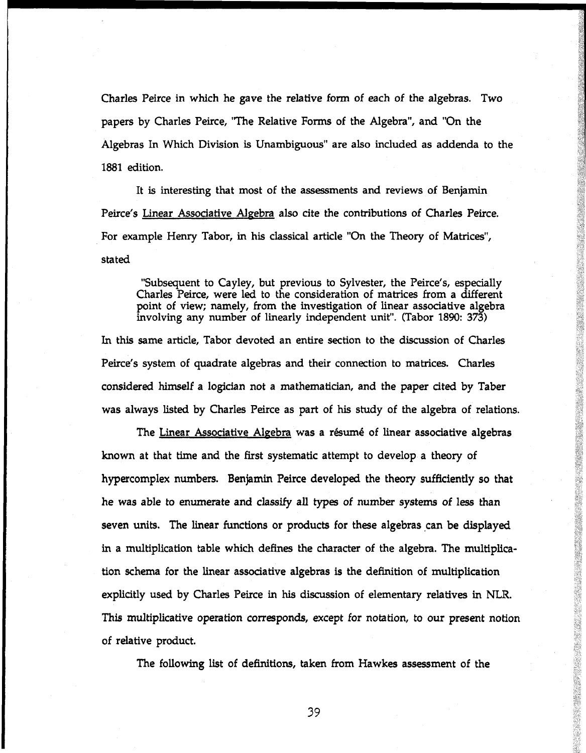Charles Peirce in which he gave the relative form of each of the algebras. Two papers by Charles Peirce, "The Relative Forms of the Algebra", and "On the Algebras In Which Division is Unambiguous" are also included as addenda to the 1881 edition.

It is interesting that most of the assessments and reviews of Benjamin Peirce's Linear Associative Algebra also cite the contributions of Charles Peirce. For example Henry Tabor, in his classical article "On the Theory of Matrices", stated

"Subsequent to Cayley, but previous to Sylvester, the Peirce's, especially Charles Peirce, were led to the consideration of matrices from a different point of view; namely, from the investigation of linear associative algebra involving any number of linearly independent unit". (Tabor 1890: 373)

In this same article, Tabor devoted an entire section to the discussion of Charles Peirce's system of quadrate algebras and their connection to matrices. Charles considered himself a logician not a mathematician, and the paper cited by Taber was always listed by Charles Peirce as part of his study of the algebra of relations.

The Linear Associative Algebra was a résumé of linear associative algebras known at that time and the first systematic attempt to develop a theory of hypercomplex numbers. Benjamin Peirce developed the theory sufficiently so that he was able to enumerate and classify all types of number systems of less than seven units. The linear functions or products for these algebras can be displayed in a multiplication table which defines the character of the algebra. The multiplication schema for the linear associative algebras is the definition of multiplication explicitly used by Charles Peirce in his discussion of elementary relatives in NLR. This multiplicative operation corresponds, except for notation, to our present notion of relative product.

The following list of definitions, taken from Hawkes assessment of the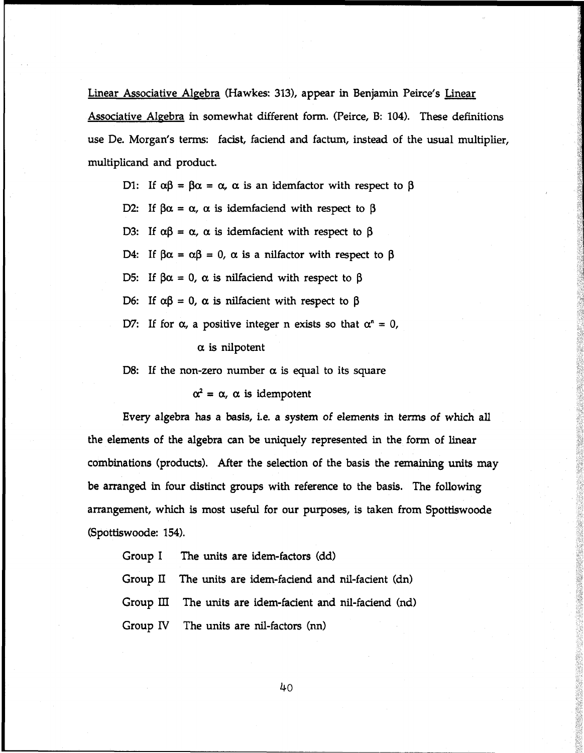Linear Associative Algebra (Hawkes: 313), appear in Benjamin Peirce's Linear Associative Algebra in somewhat different form. (Peirce, B: 104). These definitions use De. Morgan's terms: facist, faciend and factum, instead of the usual multiplier, multiplicand and product.

D1: If  $\alpha\beta = \beta\alpha = \alpha$ ,  $\alpha$  is an idemfactor with respect to  $\beta$ 

D2: If  $\beta \alpha = \alpha$ ,  $\alpha$  is idemfaciend with respect to  $\beta$ 

D3: If  $\alpha\beta = \alpha$ ,  $\alpha$  is idemfacient with respect to  $\beta$ 

D4: If  $\beta \alpha = \alpha \beta = 0$ ,  $\alpha$  is a nilfactor with respect to  $\beta$ 

D5: If  $\beta \alpha = 0$ ,  $\alpha$  is nilfaciend with respect to  $\beta$ 

D6: If  $\alpha\beta = 0$ ,  $\alpha$  is nilfacient with respect to  $\beta$ 

D7: If for  $\alpha$ , a positive integer n exists so that  $\alpha^n = 0$ ,

 $\alpha$  is nilpotent

D8: If the non-zero number  $\alpha$  is equal to its square

 $\alpha^2 = \alpha$ ,  $\alpha$  is idempotent

Every algebra has a basis, i.e. a system of elements in terms of which all the elements of the algebra can be uniquely represented in the form of linear combinations (products). After the selection of the basis the remaining units may be arranged in four distinct groups with reference to the basis. The following arrangement, which is most useful for our purposes, is taken from Spottiswoode (Spottiswoode: 154).

Group I The units are idem-factors (dd)

Group II The units are idem-fadend and nil-facient (dn)

Group III The units are idem-facient and nil-faciend (nd)

Group IV The units are nil-factors (nn)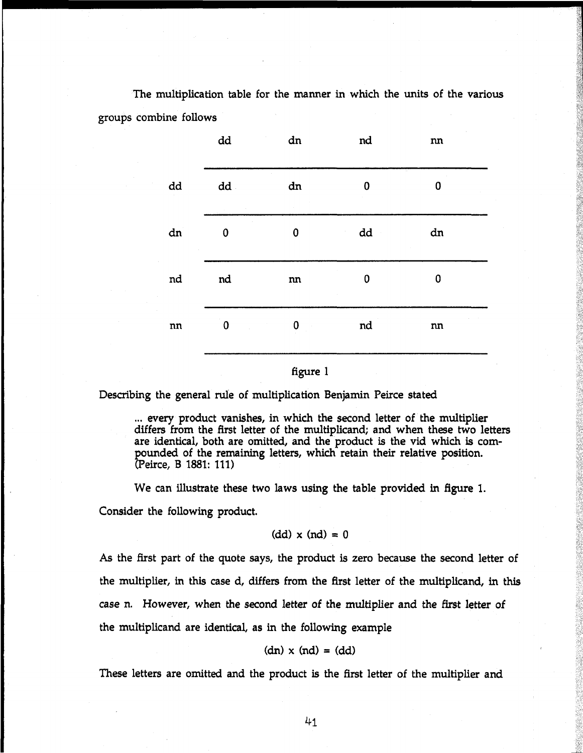The multiplication table for the manner in which the units of the various groups combine follows

|                        | $\operatorname{\mathsf{dd}}$ | ${\rm dn}$        | nd | ${\bf nn}$           |  |
|------------------------|------------------------------|-------------------|----|----------------------|--|
| dd                     | $dd -$                       | ${\rm dn}$        | 0  | $\alpha$<br>$\bf{0}$ |  |
| dn                     | $\bf{0}$                     | 0                 | dd | ${\rm dn}$           |  |
| nd                     | $^{\rm nd}$                  | ${\bf n} {\bf n}$ | 0  | 0                    |  |
| $\mathop{\mathtt{nn}}$ | $\pmb{0}$                    | 0                 | nd | nn                   |  |
|                        |                              |                   |    |                      |  |

## figure 1

Describing the general rule of multiplication Benjamin Peirce stated

... every product vanishes, in which the second letter of the multiplier differs from the first letter of the multiplicand; and when these two letters are identical, both are omitted, and the product is the vid which is com pounded of the remaining letters, which retain their relative position. (Peirce, В 1881: 111)

We can illustrate these two laws using the table provided in figure 1. Consider the following product.

## $(dd) \times (nd) = 0$

As the first part of the quote says, the product is zero because the second letter of the multiplier, in this case d, differs from the first letter of the multiplicand, in this case n. However, when the second letter of the multiplier and the first letter of the multiplicand are identical, as in the following example

# $(dn) \times (nd) = (dd)$

These letters are omitted and the product is the first letter of the multiplier and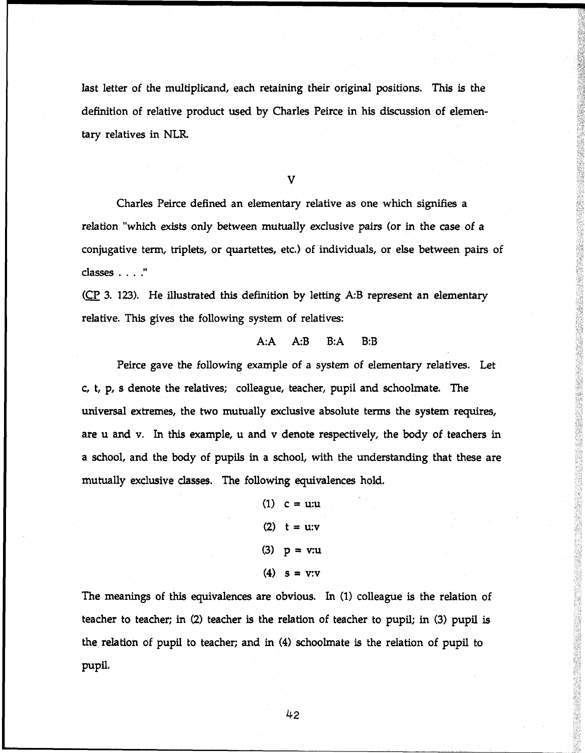last letter of the multiplicand, each retaining their original positions. This is the definition of relative product used by Charles Peirce in his discussion of elemen tary relatives in NLR.

V

Charles Peirce defined an elementary relative as one which signifies a relation "which exists only between mutually exclusive pairs (or in the case of a conjugative term, triplets, or quartettes, etc.) of individuals, or else between pairs of classes . . . ."

(CP 3. 123). He illustrated this definition by letting A:B represent an elementary relative. This gives the following system of relatives:

## A:A A:B B:A B:B

Peirce gave the following example of a system of elementary relatives. Let c, t, p, s denote the relatives; colleague, teacher, pupil and schoolmate. The universal extremes, the two mutually exclusive absolute terms the system requires, are u and v. In this example, u and v denote respectively, the body of teachers in a school, and the body of pupils in a school, with the understanding that these are mutually exclusive classes. The following equivalences hold.

> $(1)$  c = u:u (2)  $t = u : v$ (3) p *-* v:u (4)  $s = v:v$

The meanings of this equivalences are obvious. In (1) colleague is the relation of teacher to teacher; in (2) teacher is the relation of teacher to pupil; in (3) pupil is the relation of pupil to teacher; and in (4) schoolmate is the relation of pupil to pupil.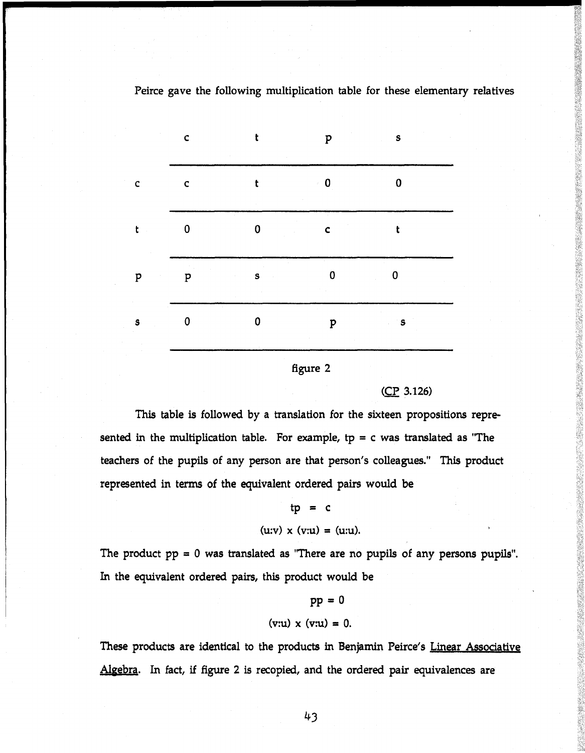#### $\mathbf{c}$  $\mathbf t$  $\mathbf{s}$ p 0 0  $\mathbf{c}$ t  $\mathbf c$  $\hat{\mathcal{L}}$ 0 0  $\mathbf{t}$  $\mathbf{c}$ t s 0 0  $\overline{p}$ **P** 0 0  $\mathbf{s}$ **P s**

# Peirce gave the following multiplication table for these elementary relatives

## figure 2

## (ÇP 3.126)

This table is followed by a translation for the sixteen propositions represented in the multiplication table. For example,  $tp = c$  was translated as "The teachers of the pupils of any person are that person's colleagues." This product represented in terms of the equivalent ordered pairs would be

$$
tp = c
$$
  
(u:v) x (v:u) = (u:u).

The product  $pp = 0$  was translated as "There are no pupils of any persons pupils". In the equivalent ordered pairs, this product would be

# p p = 0  $(v:u) \times (v:u) = 0.$

These products are identical to the products in Benjamin Peirce's Linear Associative Algebra. In fact, if figure 2 is recopied, and the ordered pair equivalences are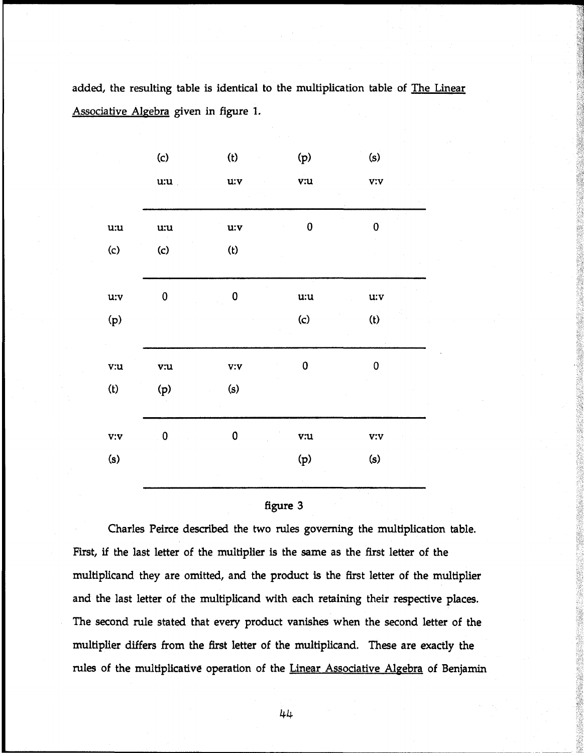added, the resulting table is identical to the multiplication table of The Linear Associative Algebra given in figure 1.

| $\left( c\right)$ | (t)             | (p)                        | (s)                                |
|-------------------|-----------------|----------------------------|------------------------------------|
| u:u               | u:v             | $\overline{\mathbf{v}}$ :u | V:V                                |
| u:u               | $\mathbf{u}$ :v | $\bf{0}$                   | $\pmb{0}$                          |
| $\mathbf{(c)}$    | (t)             |                            |                                    |
| $\bf{0}$          | $\mathbf 0$     | u:u                        | $\mathbf{u}$ :v                    |
|                   |                 | $\mathcal{L}(\mathbf{c})$  | (t)                                |
| v:u               | $\mathbf{v}$ :  | $\pmb{0}$                  | 0                                  |
| (p)               | (s)             |                            |                                    |
| $\pmb{0}$         | 0               | v:u                        | $\mathbf{v} \mathbf{:} \mathbf{v}$ |
|                   |                 | (p)                        | (s)                                |



Charles Peirce described the two rules governing the multiplication table. First, if the last letter of the multiplier is the same as the first letter of the multiplicand they are omitted, and the product is the first letter of the multiplier and the last letter of the multiplicand with each retaining their respective places. The second rule stated that every product vanishes when the second letter of the multiplier differs from the first letter of the multiplicand. These are exactly the rules of the multiplicative operation of the Linear Associative Algebra of Benjamin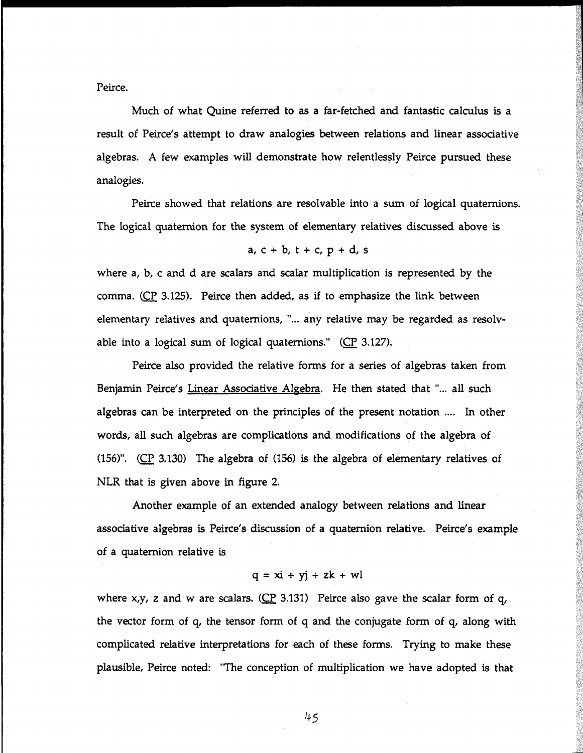Peirce.

Much of what Quine referred to as a far-fetched and fantastic calculus is a result of Peirce's attempt to draw analogies between relations and linear associative algebras. A few examples will demonstrate how relentlessly Peirce pursued these analogies.

Peirce showed that relations are resolvable into a sum of logical quaternions. The logical quaternion for the system of elementary relatives discussed above is

$$
a, c + b, t + c, p + d, s
$$

where a, b, c and d are scalars and scalar multiplication is represented by the comma. (ÇP 3.125). Peirce then added, as if to emphasize the link between elementary relatives and quaternions, "... any relative may be regarded as resolvable into a logical sum of logical quaternions."  $(CP_1 3.127)$ .

Peirce also provided the relative forms for a series of algebras taken from Benjamin Peirce's Linear Associative Algebra. He then stated that "... all such algebras can be interpreted on the principles of the present notation .... In other words, all such algebras are complications and modifications of the algebra of (156)". (ÇP 3.130) The algebra of (156) is the algebra of elementary relatives of NLR that is given above in figure 2.

Another example of an extended analogy between relations and linear associative algebras is Peirce's discussion of a quaternion relative. Peirce's example of a quaternion relative is

$$
q = x\mathbf{i} + y\mathbf{j} + z\mathbf{k} + w\mathbf{l}
$$

where  $x,y$ , z and w are scalars. (CP 3.131) Peirce also gave the scalar form of q, the vector form of q, the tensor form of q and the conjugate form of q, along with complicated relative interpretations for each of these forms. Trying to make these plausible, Peirce noted: "The conception of multiplication we have adopted is that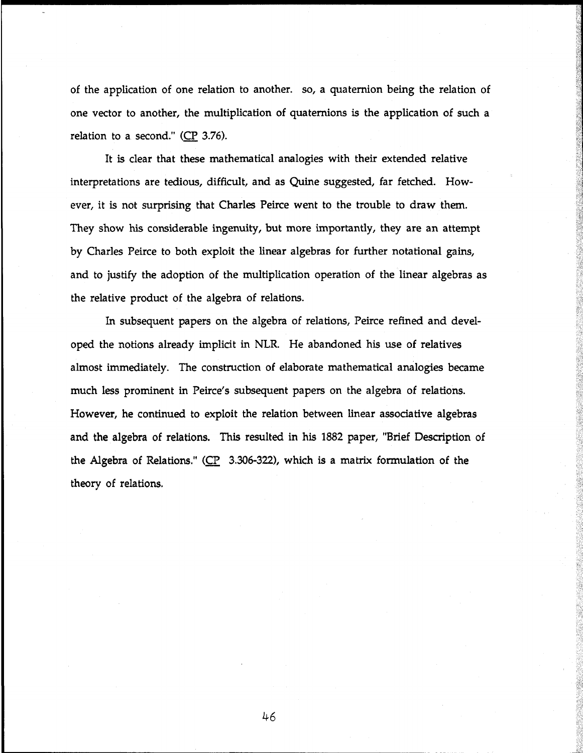of the application of one relation to another, so, a quaternion being the relation of one vector to another, the multiplication of quaternions is the application of such a relation to a second."  $(CP_3.76)$ .

It is clear that these mathematical analogies with their extended relative interpretations are tedious, difficult, and as Quine suggested, far fetched. However, it is not surprising that Charles Peirce went to the trouble to draw them. They show his considerable ingenuity, but more importantly, they are an attempt by Charles Peirce to both exploit the linear algebras for further notational gains, and to justify the adoption of the multiplication operation of the linear algebras as the relative product of the algebra of relations.

In subsequent papers on the algebra of relations, Peirce refined and developed the notions already implicit in NLR. He abandoned his use of relatives almost immediately. The construction of elaborate mathematical analogies became much less prominent in Peirce's subsequent papers on the algebra of relations. However, he continued to exploit the relation between linear associative algebras and the algebra of relations. This resulted in his 1882 paper, "Brief Description of the Algebra of Relations." ( $CP$  3.306-322), which is a matrix formulation of the theory of relations.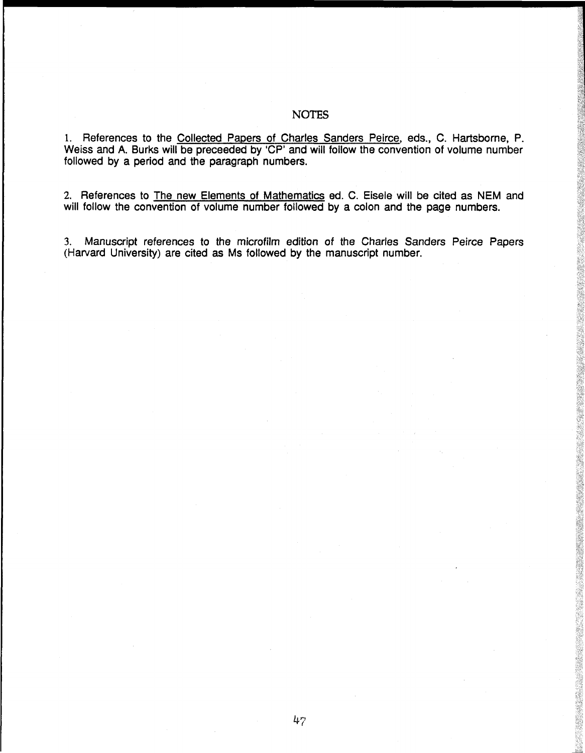## **NOTES**

1. References to the Collected Papers of Charles Sanders Peirce, eds., C. Hartsborne, P. Weiss and A. Burks will be preceeded by 'CP' and will follow the convention of volume number followed by a period and the paragraph numbers.

2. References to The new Elements of Mathematics ed. С. Eisele will be cited as NEM and will follow the convention of volume number followed by a colon and the page numbers.

3. Manuscript references to the microfilm edition of the Charles Sanders Peirce Papers (Harvard University) are cited as Ms followed by the manuscript number.